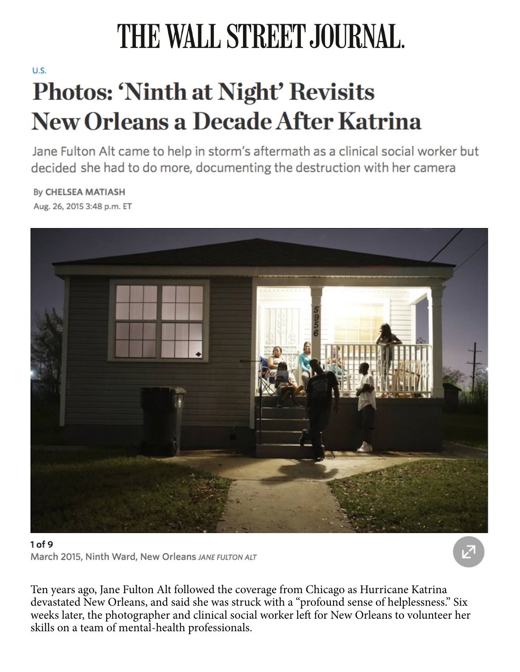## THE WALL STREET JOURNAL.

## $\overline{\mathbf{D}}$ Photos: 'Ninth at Night' Revisits **New Orleans a Decade After Katrina**

Jane Fulton Alt came to help in storm's aftermath as a clinical social worker but decided she had to do more, documenting the destruction with her camera

**By CHELSEA MATIASH** Aug. 26, 2015 3:48 p.m. ET



## $\overline{c}$  frequencies to be used by the surveillance planes that overflex that overflex that overflex that overflex that overflex the surveillance planes that overflex that overflex that overflex that overflex that overfle March 2015, Ninth Ward, New Orleans JANE FULTON ALT Naval To March 2015 1997 1998 highlight his talent for  $j$ uxtaposing elements as in the couple necking on a benchhighed  $\sim$

Ten years ago, Jane Fulton Alt followed the coverage from Chicago as Hurricane Katrina the freighters half way and I read and and about Cuba the Cuba Cuba Cuba about Cuba international about Cuba i weeks later, the photographer and clinical social worker left for New Orleans to volunteer her skills on a team of mental-health professionals. devastated New Orleans, and said she was struck with a "profound sense of helplessness." Six http://www.wsj.com/articles/a-look-at-cuba-plus-the-history-of-headshots-1437770208